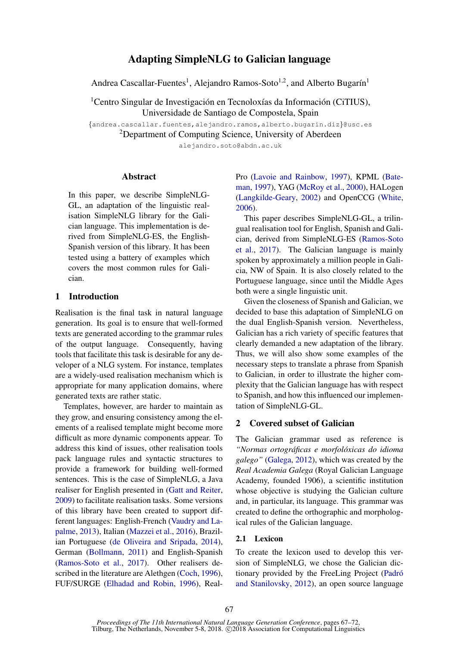# Adapting SimpleNLG to Galician language

Andrea Cascallar-Fuentes<sup>1</sup>, Alejandro Ramos-Soto<sup>1,2</sup>, and Alberto Bugarín<sup>1</sup>

<sup>1</sup>Centro Singular de Investigación en Tecnoloxías da Información (CiTIUS), Universidade de Santiago de Compostela, Spain

{andrea.cascallar.fuentes,alejandro.ramos,alberto.bugarin.diz}@usc.es

<sup>2</sup>Department of Computing Science, University of Aberdeen

alejandro.soto@abdn.ac.uk

## Abstract

In this paper, we describe SimpleNLG-GL, an adaptation of the linguistic realisation SimpleNLG library for the Galician language. This implementation is derived from SimpleNLG-ES, the English-Spanish version of this library. It has been tested using a battery of examples which covers the most common rules for Galician.

## 1 Introduction

Realisation is the final task in natural language generation. Its goal is to ensure that well-formed texts are generated according to the grammar rules of the output language. Consequently, having tools that facilitate this task is desirable for any developer of a NLG system. For instance, templates are a widely-used realisation mechanism which is appropriate for many application domains, where generated texts are rather static.

Templates, however, are harder to maintain as they grow, and ensuring consistency among the elements of a realised template might become more difficult as more dynamic components appear. To address this kind of issues, other realisation tools pack language rules and syntactic structures to provide a framework for building well-formed sentences. This is the case of SimpleNLG, a Java realiser for English presented in [\(Gatt and Reiter,](#page-4-0) [2009\)](#page-4-0) to facilitate realisation tasks. Some versions of this library have been created to support different languages: English-French [\(Vaudry and La](#page-5-0)[palme,](#page-5-0) [2013\)](#page-5-0), Italian [\(Mazzei et al.,](#page-4-1) [2016\)](#page-4-1), Brazilian Portuguese [\(de Oliveira and Sripada,](#page-5-1) [2014\)](#page-5-1), German [\(Bollmann,](#page-4-2) [2011\)](#page-4-2) and English-Spanish [\(Ramos-Soto et al.,](#page-5-2) [2017\)](#page-5-2). Other realisers described in the literature are Alethgen [\(Coch,](#page-4-3) [1996\)](#page-4-3), FUF/SURGE [\(Elhadad and Robin,](#page-4-4) [1996\)](#page-4-4), RealPro [\(Lavoie and Rainbow,](#page-4-5) [1997\)](#page-4-5), KPML [\(Bate](#page-4-6)[man,](#page-4-6) [1997\)](#page-4-6), YAG [\(McRoy et al.,](#page-5-3) [2000\)](#page-5-3), HALogen [\(Langkilde-Geary,](#page-4-7) [2002\)](#page-4-7) and OpenCCG [\(White,](#page-5-4) [2006\)](#page-5-4).

This paper describes SimpleNLG-GL, a trilingual realisation tool for English, Spanish and Galician, derived from SimpleNLG-ES [\(Ramos-Soto](#page-5-2) [et al.,](#page-5-2) [2017\)](#page-5-2). The Galician language is mainly spoken by approximately a million people in Galicia, NW of Spain. It is also closely related to the Portuguese language, since until the Middle Ages both were a single linguistic unit.

Given the closeness of Spanish and Galician, we decided to base this adaptation of SimpleNLG on the dual English-Spanish version. Nevertheless, Galician has a rich variety of specific features that clearly demanded a new adaptation of the library. Thus, we will also show some examples of the necessary steps to translate a phrase from Spanish to Galician, in order to illustrate the higher complexity that the Galician language has with respect to Spanish, and how this influenced our implementation of SimpleNLG-GL.

## 2 Covered subset of Galician

The Galician grammar used as reference is *"Normas ortograficas e morfol ´ oxicas do idioma ´ galego"* [\(Galega,](#page-4-8) [2012\)](#page-4-8), which was created by the *Real Academia Galega* (Royal Galician Language Academy, founded 1906), a scientific institution whose objective is studying the Galician culture and, in particular, its language. This grammar was created to define the orthographic and morphological rules of the Galician language.

### 2.1 Lexicon

To create the lexicon used to develop this version of SimpleNLG, we chose the Galician dictionary provided by the FreeLing Project [\(Padro´](#page-5-5) [and Stanilovsky,](#page-5-5) [2012\)](#page-5-5), an open source language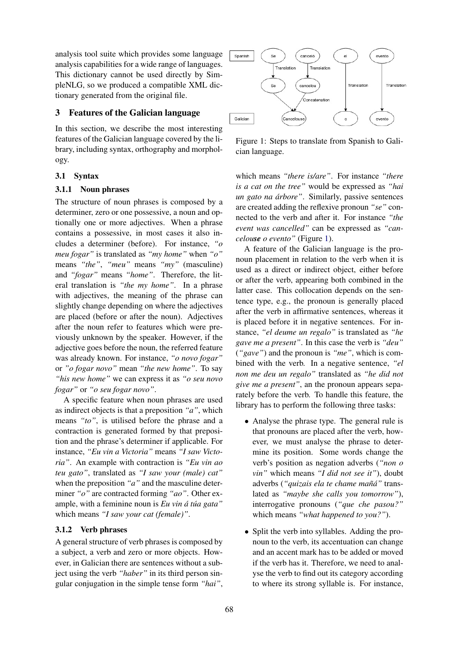analysis tool suite which provides some language analysis capabilities for a wide range of languages. This dictionary cannot be used directly by SimpleNLG, so we produced a compatible XML dictionary generated from the original file.

## 3 Features of the Galician language

In this section, we describe the most interesting features of the Galician language covered by the library, including syntax, orthography and morphology.

## 3.1 Syntax

## 3.1.1 Noun phrases

The structure of noun phrases is composed by a determiner, zero or one possessive, a noun and optionally one or more adjectives. When a phrase contains a possessive, in most cases it also includes a determiner (before). For instance, *"o meu fogar"* is translated as *"my home"* when *"o"* means *"the"*, *"meu"* means *"my"* (masculine) and *"fogar"* means *"home"*. Therefore, the literal translation is *"the my home"*. In a phrase with adjectives, the meaning of the phrase can slightly change depending on where the adjectives are placed (before or after the noun). Adjectives after the noun refer to features which were previously unknown by the speaker. However, if the adjective goes before the noun, the referred feature was already known. For instance, *"o novo fogar"* or *"o fogar novo"* mean *"the new home"*. To say *"his new home"* we can express it as *"o seu novo fogar"* or *"o seu fogar novo"*.

A specific feature when noun phrases are used as indirect objects is that a preposition *"a"*, which means *"to"*, is utilised before the phrase and a contraction is generated formed by that preposition and the phrase's determiner if applicable. For instance, *"Eu vin a Victoria"* means *"I saw Victoria"*. An example with contraction is *"Eu vin ao teu gato"*, translated as *"I saw your (male) cat"* when the preposition *"a"* and the masculine determiner *"o"* are contracted forming *"ao"*. Other example, with a feminine noun is *Eu vin á túa gata*" which means *"I saw your cat (female)"*.

## 3.1.2 Verb phrases

A general structure of verb phrases is composed by a subject, a verb and zero or more objects. However, in Galician there are sentences without a subject using the verb *"haber"* in its third person singular conjugation in the simple tense form *"hai"*,



<span id="page-1-0"></span>Figure 1: Steps to translate from Spanish to Galician language.

which means *"there is/are"*. For instance *"there is a cat on the tree"* would be expressed as *"hai un gato na arbore" ´* . Similarly, passive sentences are created adding the reflexive pronoun *"se"* connected to the verb and after it. For instance *"the event was cancelled"* can be expressed as *"cancelouse o evento"* (Figure [1\)](#page-1-0).

A feature of the Galician language is the pronoun placement in relation to the verb when it is used as a direct or indirect object, either before or after the verb, appearing both combined in the latter case. This collocation depends on the sentence type, e.g., the pronoun is generally placed after the verb in affirmative sentences, whereas it is placed before it in negative sentences. For instance, *"el deume un regalo"* is translated as *"he gave me a present"*. In this case the verb is *"deu"* (*"gave"*) and the pronoun is *"me"*, which is combined with the verb. In a negative sentence, *"el non me deu un regalo"* translated as *"he did not give me a present"*, an the pronoun appears separately before the verb. To handle this feature, the library has to perform the following three tasks:

- Analyse the phrase type. The general rule is that pronouns are placed after the verb, however, we must analyse the phrase to determine its position. Some words change the verb's position as negation adverbs (*"non o vin"* which means *"I did not see it"*), doubt adverbs (*"quizais ela te chame man˜a"´* translated as *"maybe she calls you tomorrow"*), interrogative pronouns (*"que che pasou?"* which means *"what happened to you?"*).
- Split the verb into syllables. Adding the pronoun to the verb, its accentuation can change and an accent mark has to be added or moved if the verb has it. Therefore, we need to analyse the verb to find out its category according to where its strong syllable is. For instance,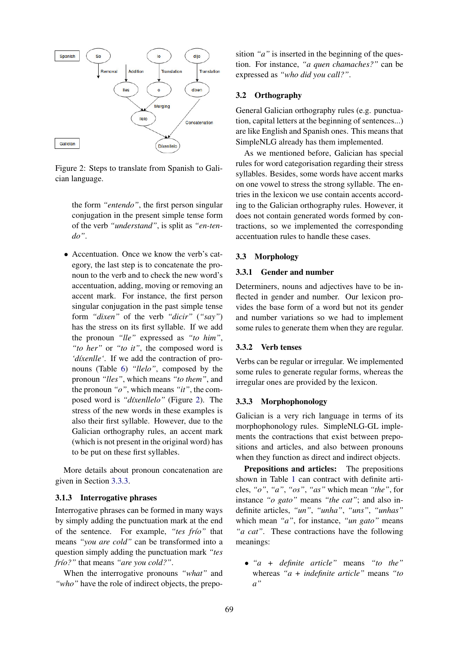

<span id="page-2-0"></span>Figure 2: Steps to translate from Spanish to Galician language.

the form *"entendo"*, the first person singular conjugation in the present simple tense form of the verb *"understand"*, is split as *"en-tendo"*.

• Accentuation. Once we know the verb's category, the last step is to concatenate the pronoun to the verb and to check the new word's accentuation, adding, moving or removing an accent mark. For instance, the first person singular conjugation in the past simple tense form *"dixen"* of the verb *"dicir"* (*"say"*) has the stress on its first syllable. If we add the pronoun *"lle"* expressed as *"to him"*, *"to her"* or *"to it"*, the composed word is 'díxenlle'. If we add the contraction of pronouns (Table [6\)](#page-4-9) *"llelo"*, composed by the pronoun *"lles"*, which means *"to them"*, and the pronoun *"o"*, which means *"it"*, the com-posed word is "díxenllelo" (Figure [2\)](#page-2-0). The stress of the new words in these examples is also their first syllable. However, due to the Galician orthography rules, an accent mark (which is not present in the original word) has to be put on these first syllables.

More details about pronoun concatenation are given in Section [3.3.3.](#page-2-1)

### 3.1.3 Interrogative phrases

Interrogative phrases can be formed in many ways by simply adding the punctuation mark at the end of the sentence. For example, "tes frío" that means *"you are cold"* can be transformed into a question simply adding the punctuation mark *"tes frío?"* that means *"are you cold?"*.

When the interrogative pronouns *"what"* and *"who"* have the role of indirect objects, the preposition *"a"* is inserted in the beginning of the question. For instance, *"a quen chamaches?"* can be expressed as *"who did you call?"*.

## 3.2 Orthography

General Galician orthography rules (e.g. punctuation, capital letters at the beginning of sentences...) are like English and Spanish ones. This means that SimpleNLG already has them implemented.

As we mentioned before, Galician has special rules for word categorisation regarding their stress syllables. Besides, some words have accent marks on one vowel to stress the strong syllable. The entries in the lexicon we use contain accents according to the Galician orthography rules. However, it does not contain generated words formed by contractions, so we implemented the corresponding accentuation rules to handle these cases.

### 3.3 Morphology

### 3.3.1 Gender and number

Determiners, nouns and adjectives have to be inflected in gender and number. Our lexicon provides the base form of a word but not its gender and number variations so we had to implement some rules to generate them when they are regular.

#### 3.3.2 Verb tenses

Verbs can be regular or irregular. We implemented some rules to generate regular forms, whereas the irregular ones are provided by the lexicon.

### <span id="page-2-1"></span>3.3.3 Morphophonology

Galician is a very rich language in terms of its morphophonology rules. SimpleNLG-GL implements the contractions that exist between prepositions and articles, and also between pronouns when they function as direct and indirect objects.

Prepositions and articles: The prepositions shown in Table [1](#page-3-0) can contract with definite articles, *"o"*, *"a"*, *"os"*, *"as"* which mean *"the"*, for instance *"o gato"* means *"the cat"*; and also indefinite articles, *"un"*, *"unha"*, *"uns"*, *"unhas"* which mean *"a"*, for instance, *"un gato"* means *"a cat"*. These contractions have the following meanings:

• *"a + definite article"* means *"to the"* whereas *"a + indefinite article"* means *"to a"*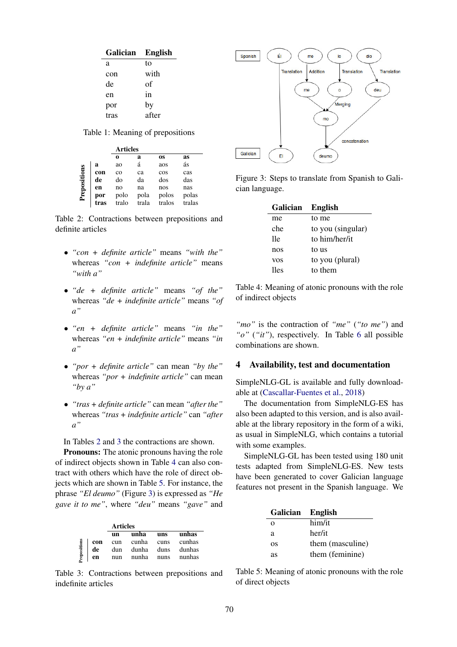| Galician | <b>English</b> |
|----------|----------------|
| а        | tο             |
| con      | with           |
| de       | оf             |
| en       | in             |
| por      | by             |
| tras     | after          |

<span id="page-3-0"></span>Table 1: Meaning of prepositions

|              |             | <b>Articles</b> |               |                 |                 |
|--------------|-------------|-----------------|---------------|-----------------|-----------------|
|              |             | 0               | a             | <b>OS</b>       | as              |
| Prepositions | a           | ao              | á             | aos             | ás              |
|              | con         | $_{\rm co}$     | ca            | cos             | cas             |
|              | de          | do              | da            | dos             | das             |
|              | en          | no              | na            | nos             | nas             |
|              | por<br>tras | polo<br>tralo   | pola<br>trala | polos<br>tralos | polas<br>tralas |

<span id="page-3-1"></span>Table 2: Contractions between prepositions and definite articles

- *"con + definite article"* means *"with the"* whereas *"con + indefinite article"* means *"with a"*
- *"de + definite article"* means *"of the"* whereas *"de + indefinite article"* means *"of a"*
- *"en + definite article"* means *"in the"* whereas *"en + indefinite article"* means *"in a"*
- *"por + definite article"* can mean *"by the"* whereas *"por + indefinite article"* can mean *"by a"*
- *"tras + definite article"* can mean *"after the"* whereas *"tras + indefinite article"* can *"after a"*

In Tables [2](#page-3-1) and [3](#page-3-2) the contractions are shown.

**Pronouns:** The atonic pronouns having the role of indirect objects shown in Table [4](#page-3-3) can also contract with others which have the role of direct objects which are shown in Table [5.](#page-3-4) For instance, the phrase *"El deumo"* (Figure [3\)](#page-3-5) is expressed as *"He gave it to me"*, where *"deu"* means *"gave"* and

|              |     | <b>Articles</b> |                       |     |                   |
|--------------|-----|-----------------|-----------------------|-----|-------------------|
|              |     | un              | unha                  | uns | unhas             |
|              | con |                 | cun cunha cuns cunhas |     |                   |
|              | de  |                 | dun dunha duns dunhas |     |                   |
| Prepositions | en  | nun             |                       |     | nunha nuns nunhas |

<span id="page-3-2"></span>Table 3: Contractions between prepositions and indefinite articles



Figure 3: Steps to translate from Spanish to Galician language.

<span id="page-3-5"></span>

| Galician   | <b>English</b>    |
|------------|-------------------|
| me         | to me             |
| che        | to you (singular) |
| 11e        | to him/her/it     |
| nos        | to us             |
| <b>VOS</b> | to you (plural)   |
| lles       | to them           |

<span id="page-3-3"></span>Table 4: Meaning of atonic pronouns with the role of indirect objects

*"mo"* is the contraction of *"me"* (*"to me"*) and *"o"* (*"it"*), respectively. In Table [6](#page-4-9) all possible combinations are shown.

#### 4 Availability, test and documentation

SimpleNLG-GL is available and fully downloadable at [\(Cascallar-Fuentes et al.,](#page-4-10) [2018\)](#page-4-10)

The documentation from SimpleNLG-ES has also been adapted to this version, and is also available at the library repository in the form of a wiki, as usual in SimpleNLG, which contains a tutorial with some examples.

SimpleNLG-GL has been tested using 180 unit tests adapted from SimpleNLG-ES. New tests have been generated to cover Galician language features not present in the Spanish language. We

| <b>Galician</b> | <b>English</b>   |
|-----------------|------------------|
| $\Omega$        | him/it           |
| a               | her/it           |
| OS              | them (masculine) |
| as              | them (feminine)  |

<span id="page-3-4"></span>Table 5: Meaning of atonic pronouns with the role of direct objects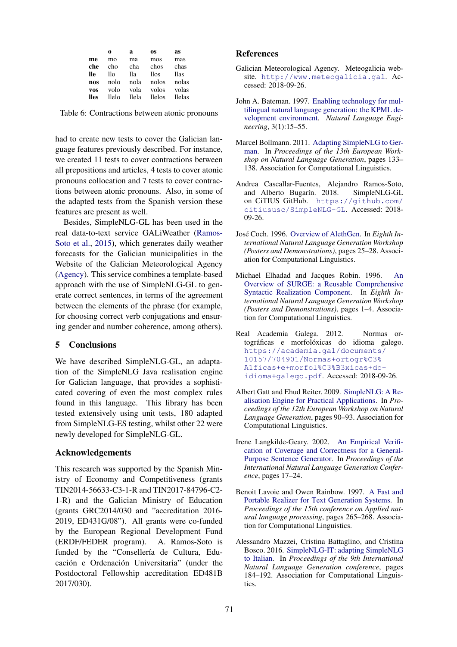|            | 0     | a      | OS.           | as     |
|------------|-------|--------|---------------|--------|
| me         | mo    | ma     | mos           | mas    |
| che        | cho   | cha    | chos          | chas   |
| lle        | llo   | lla    | llos          | llas   |
| nos        | nolo  | nola   | nolos         | nolas  |
| <b>VOS</b> | volo  | vola   | volos         | volas  |
| lles       | llelo | llela. | <b>llelos</b> | llelas |

<span id="page-4-9"></span>Table 6: Contractions between atonic pronouns

had to create new tests to cover the Galician language features previously described. For instance, we created 11 tests to cover contractions between all prepositions and articles, 4 tests to cover atonic pronouns collocation and 7 tests to cover contractions between atonic pronouns. Also, in some of the adapted tests from the Spanish version these features are present as well.

Besides, SimpleNLG-GL has been used in the real data-to-text service GALiWeather [\(Ramos-](#page-5-6)[Soto et al.,](#page-5-6) [2015\)](#page-5-6), which generates daily weather forecasts for the Galician municipalities in the Website of the Galician Meteorological Agency [\(Agency\)](#page-4-11). This service combines a template-based approach with the use of SimpleNLG-GL to generate correct sentences, in terms of the agreement between the elements of the phrase (for example, for choosing correct verb conjugations and ensuring gender and number coherence, among others).

## 5 Conclusions

We have described SimpleNLG-GL, an adaptation of the SimpleNLG Java realisation engine for Galician language, that provides a sophisticated covering of even the most complex rules found in this language. This library has been tested extensively using unit tests, 180 adapted from SimpleNLG-ES testing, whilst other 22 were newly developed for SimpleNLG-GL.

#### Acknowledgements

This research was supported by the Spanish Ministry of Economy and Competitiveness (grants TIN2014-56633-C3-1-R and TIN2017-84796-C2- 1-R) and the Galician Ministry of Education (grants GRC2014/030 and "accreditation 2016- 2019, ED431G/08"). All grants were co-funded by the European Regional Development Fund (ERDF/FEDER program). A. Ramos-Soto is funded by the "Consellería de Cultura, Educación e Ordenación Universitaria" (under the Postdoctoral Fellowship accreditation ED481B 2017/030).

### References

- <span id="page-4-11"></span>Galician Meteorological Agency. Meteogalicia website. <http://www.meteogalicia.gal>. Accessed: 2018-09-26.
- <span id="page-4-6"></span>John A. Bateman. 1997. [Enabling technology for mul](https://doi.org/10.1017/S1351324997001514)[tilingual natural language generation: the KPML de](https://doi.org/10.1017/S1351324997001514)[velopment environment.](https://doi.org/10.1017/S1351324997001514) *Natural Language Engineering*, 3(1):15–55.
- <span id="page-4-2"></span>Marcel Bollmann. 2011. [Adapting SimpleNLG to Ger](http://www.aclweb.org/anthology/W11-2817)[man.](http://www.aclweb.org/anthology/W11-2817) In *Proceedings of the 13th European Workshop on Natural Language Generation*, pages 133– 138. Association for Computational Linguistics.
- <span id="page-4-10"></span>Andrea Cascallar-Fuentes, Alejandro Ramos-Soto, and Alberto Bugarín. 2018. SimpleNLG-GL on CiTIUS GitHub. [https://github.com/](https://github.com/citiususc/SimpleNLG-GL) [citiususc/SimpleNLG-GL](https://github.com/citiususc/SimpleNLG-GL). Accessed: 2018- 09-26.
- <span id="page-4-3"></span>José Coch. 1996. [Overview of AlethGen.](http://www.aclweb.org/anthology/W96-0507) In *Eighth International Natural Language Generation Workshop (Posters and Demonstrations)*, pages 25–28. Association for Computational Linguistics.
- <span id="page-4-4"></span>Michael Elhadad and Jacques Robin. 1996. [An](http://www.aclweb.org/anthology/W96-0501) [Overview of SURGE: a Reusable Comprehensive](http://www.aclweb.org/anthology/W96-0501) [Syntactic Realization Component.](http://www.aclweb.org/anthology/W96-0501) In *Eighth International Natural Language Generation Workshop (Posters and Demonstrations)*, pages 1–4. Association for Computational Linguistics.
- <span id="page-4-8"></span>Real Academia Galega. 2012. Normas ortográficas e morfolóxicas do idioma galego. [https://academia.gal/documents/](https://academia.gal/documents/10157/704901/Normas+ortogr%C3%A1ficas+e+morfol%C3%B3xicas+do+idioma+galego.pdf) [10157/704901/Normas+ortogr%C3%](https://academia.gal/documents/10157/704901/Normas+ortogr%C3%A1ficas+e+morfol%C3%B3xicas+do+idioma+galego.pdf) [A1ficas+e+morfol%C3%B3xicas+do+](https://academia.gal/documents/10157/704901/Normas+ortogr%C3%A1ficas+e+morfol%C3%B3xicas+do+idioma+galego.pdf) [idioma+galego.pdf](https://academia.gal/documents/10157/704901/Normas+ortogr%C3%A1ficas+e+morfol%C3%B3xicas+do+idioma+galego.pdf). Accessed: 2018-09-26.
- <span id="page-4-0"></span>Albert Gatt and Ehud Reiter. 2009. [SimpleNLG: A Re](https://doi.org/10.3115/1610195.1610208)[alisation Engine for Practical Applications.](https://doi.org/10.3115/1610195.1610208) In *Proceedings of the 12th European Workshop on Natural Language Generation*, pages 90–93. Association for Computational Linguistics.
- <span id="page-4-7"></span>Irene Langkilde-Geary. 2002. [An Empirical Verifi](http://aclweb.org/anthology/W/W02/W02-2103.pdf)[cation of Coverage and Correctness for a General-](http://aclweb.org/anthology/W/W02/W02-2103.pdf)[Purpose Sentence Generator.](http://aclweb.org/anthology/W/W02/W02-2103.pdf) In *Proceedings of the International Natural Language Generation Conference*, pages 17–24.
- <span id="page-4-5"></span>Benoit Lavoie and Owen Rainbow. 1997. [A Fast and](https://doi.org/10.3115/974557.974596) [Portable Realizer for Text Generation Systems.](https://doi.org/10.3115/974557.974596) In *Proceedings of the 15th conference on Applied natural language processing*, pages 265–268. Association for Computational Linguistics.
- <span id="page-4-1"></span>Alessandro Mazzei, Cristina Battaglino, and Cristina Bosco. 2016. [SimpleNLG-IT: adapting SimpleNLG](https://doi.org/10.18653/v1/w16-6630) [to Italian.](https://doi.org/10.18653/v1/w16-6630) In *Proceedings of the 9th International Natural Language Generation conference*, pages 184–192. Association for Computational Linguistics.